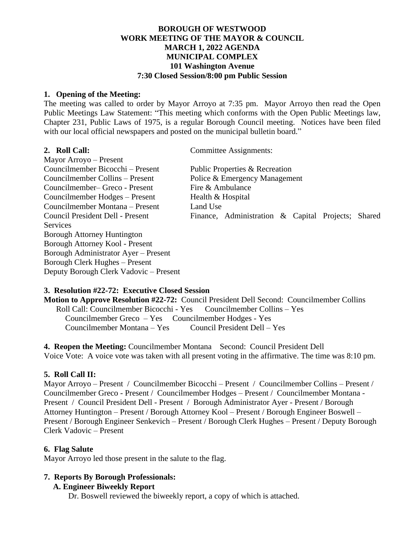# **BOROUGH OF WESTWOOD WORK MEETING OF THE MAYOR & COUNCIL MARCH 1, 2022 AGENDA MUNICIPAL COMPLEX 101 Washington Avenue 7:30 Closed Session/8:00 pm Public Session**

#### **1. Opening of the Meeting:**

The meeting was called to order by Mayor Arroyo at 7:35 pm. Mayor Arroyo then read the Open Public Meetings Law Statement: "This meeting which conforms with the Open Public Meetings law, Chapter 231, Public Laws of 1975, is a regular Borough Council meeting. Notices have been filed with our local official newspapers and posted on the municipal bulletin board."

**2. Roll Call:** Committee Assignments:

Mayor Arroyo – Present Councilmember Bicocchi – Present Public Properties  $\&$  Recreation Councilmember Collins – Present Police & Emergency Management  $\frac{1}{2}$ Councilmember– Greco - Present Fire & Ambulance Councilmember Hodges – Present Health  $&$  Hospital Councilmember Montana – Present Land Use **Services** Borough Attorney Huntington Borough Attorney Kool - Present Borough Administrator Ayer – Present Borough Clerk Hughes – Present Deputy Borough Clerk Vadovic – Present

Council President Dell - Present Finance, Administration & Capital Projects; Shared

# **3. Resolution #22-72: Executive Closed Session**

**Motion to Approve Resolution #22-72:** Council President Dell Second: Councilmember Collins Roll Call: Councilmember Bicocchi - Yes Councilmember Collins – Yes Councilmember Greco – Yes Councilmember Hodges - Yes Councilmember Montana – Yes Council President Dell – Yes

**4. Reopen the Meeting:** Councilmember Montana Second: Council President Dell Voice Vote: A voice vote was taken with all present voting in the affirmative. The time was 8:10 pm.

# **5. Roll Call II:**

Mayor Arroyo – Present / Councilmember Bicocchi – Present / Councilmember Collins – Present / Councilmember Greco - Present / Councilmember Hodges – Present / Councilmember Montana - Present / Council President Dell - Present / Borough Administrator Ayer - Present / Borough Attorney Huntington – Present / Borough Attorney Kool – Present / Borough Engineer Boswell – Present / Borough Engineer Senkevich – Present / Borough Clerk Hughes – Present / Deputy Borough Clerk Vadovic – Present

# **6. Flag Salute**

Mayor Arroyo led those present in the salute to the flag.

# **7. Reports By Borough Professionals:**

**A. Engineer Biweekly Report**

Dr. Boswell reviewed the biweekly report, a copy of which is attached.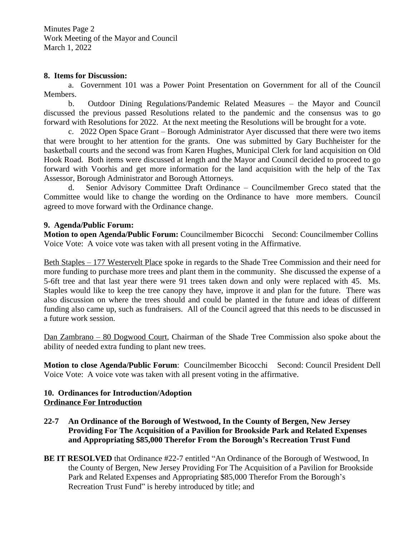Minutes Page 2 Work Meeting of the Mayor and Council March 1, 2022

### **8. Items for Discussion:**

a. Government 101 was a Power Point Presentation on Government for all of the Council Members.

b. Outdoor Dining Regulations/Pandemic Related Measures – the Mayor and Council discussed the previous passed Resolutions related to the pandemic and the consensus was to go forward with Resolutions for 2022. At the next meeting the Resolutions will be brought for a vote.

c. 2022 Open Space Grant – Borough Administrator Ayer discussed that there were two items that were brought to her attention for the grants. One was submitted by Gary Buchheister for the basketball courts and the second was from Karen Hughes, Municipal Clerk for land acquisition on Old Hook Road. Both items were discussed at length and the Mayor and Council decided to proceed to go forward with Voorhis and get more information for the land acquisition with the help of the Tax Assessor, Borough Administrator and Borough Attorneys.

d. Senior Advisory Committee Draft Ordinance – Councilmember Greco stated that the Committee would like to change the wording on the Ordinance to have more members. Council agreed to move forward with the Ordinance change.

# **9. Agenda/Public Forum:**

**Motion to open Agenda/Public Forum:** Councilmember BicocchiSecond: Councilmember Collins Voice Vote: A voice vote was taken with all present voting in the Affirmative.

Beth Staples – 177 Westervelt Place spoke in regards to the Shade Tree Commission and their need for more funding to purchase more trees and plant them in the community. She discussed the expense of a 5-6ft tree and that last year there were 91 trees taken down and only were replaced with 45. Ms. Staples would like to keep the tree canopy they have, improve it and plan for the future. There was also discussion on where the trees should and could be planted in the future and ideas of different funding also came up, such as fundraisers. All of the Council agreed that this needs to be discussed in a future work session.

Dan Zambrano – 80 Dogwood Court, Chairman of the Shade Tree Commission also spoke about the ability of needed extra funding to plant new trees.

**Motion to close Agenda/Public Forum**: Councilmember Bicocchi Second: Council President Dell Voice Vote: A voice vote was taken with all present voting in the affirmative.

### **10. Ordinances for Introduction/Adoption Ordinance For Introduction**

- **22-7 An Ordinance of the Borough of Westwood, In the County of Bergen, New Jersey Providing For The Acquisition of a Pavilion for Brookside Park and Related Expenses and Appropriating \$85,000 Therefor From the Borough's Recreation Trust Fund**
- **BE IT RESOLVED** that Ordinance #22-7 entitled "An Ordinance of the Borough of Westwood, In the County of Bergen, New Jersey Providing For The Acquisition of a Pavilion for Brookside Park and Related Expenses and Appropriating \$85,000 Therefor From the Borough's Recreation Trust Fund" is hereby introduced by title; and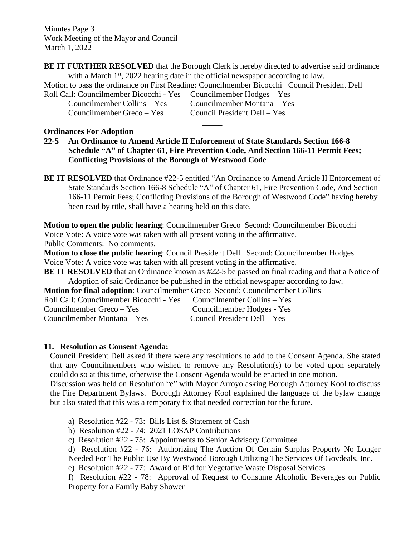Minutes Page 3 Work Meeting of the Mayor and Council March 1, 2022

**BE IT FURTHER RESOLVED** that the Borough Clerk is hereby directed to advertise said ordinance with a March 1st, 2022 hearing date in the official newspaper according to law.

 $\overline{\phantom{a}}$ 

Motion to pass the ordinance on First Reading: Councilmember Bicocchi Council President Dell Roll Call: Councilmember Bicocchi - Yes Councilmember Hodges – Yes

Councilmember Greco – Yes Council President Dell – Yes

Councilmember Collins – Yes Councilmember Montana – Yes

# **Ordinances For Adoption**

**22-5 An Ordinance to Amend Article II Enforcement of State Standards Section 166-8 Schedule "A" of Chapter 61, Fire Prevention Code, And Section 166-11 Permit Fees; Conflicting Provisions of the Borough of Westwood Code**

**BE IT RESOLVED** that Ordinance #22-5 entitled "An Ordinance to Amend Article II Enforcement of State Standards Section 166-8 Schedule "A" of Chapter 61, Fire Prevention Code, And Section 166-11 Permit Fees; Conflicting Provisions of the Borough of Westwood Code" having hereby been read by title, shall have a hearing held on this date.

**Motion to open the public hearing**: Councilmember Greco Second: Councilmember Bicocchi Voice Vote: A voice vote was taken with all present voting in the affirmative. Public Comments: No comments.

**Motion to close the public hearing**: Council President Dell Second: Councilmember Hodges Voice Vote: A voice vote was taken with all present voting in the affirmative.

**BE IT RESOLVED** that an Ordinance known as #22-5 be passed on final reading and that a Notice of Adoption of said Ordinance be published in the official newspaper according to law.

**Motion for final adoption**: Councilmember Greco Second: Councilmember Collins

| Roll Call: Councilmember Bicocchi - Yes | Councilmember Collins – Yes  |
|-----------------------------------------|------------------------------|
| Councilmember Greco – Yes               | Councilmember Hodges - Yes   |
| Councilmember Montana – Yes             | Council President Dell – Yes |

# **11. Resolution as Consent Agenda:**

Council President Dell asked if there were any resolutions to add to the Consent Agenda. She stated that any Councilmembers who wished to remove any Resolution(s) to be voted upon separately could do so at this time, otherwise the Consent Agenda would be enacted in one motion.

 $\overline{\phantom{a}}$ 

Discussion was held on Resolution "e" with Mayor Arroyo asking Borough Attorney Kool to discuss the Fire Department Bylaws. Borough Attorney Kool explained the language of the bylaw change but also stated that this was a temporary fix that needed correction for the future.

- a) Resolution #22 73: Bills List & Statement of Cash
- b) Resolution #22 74: 2021 LOSAP Contributions
- c) Resolution #22 75: Appointments to Senior Advisory Committee
- d) Resolution #22 76: Authorizing The Auction Of Certain Surplus Property No Longer Needed For The Public Use By Westwood Borough Utilizing The Services Of Govdeals, Inc.
- e) Resolution #22 77: Award of Bid for Vegetative Waste Disposal Services

f) Resolution #22 - 78: Approval of Request to Consume Alcoholic Beverages on Public Property for a Family Baby Shower